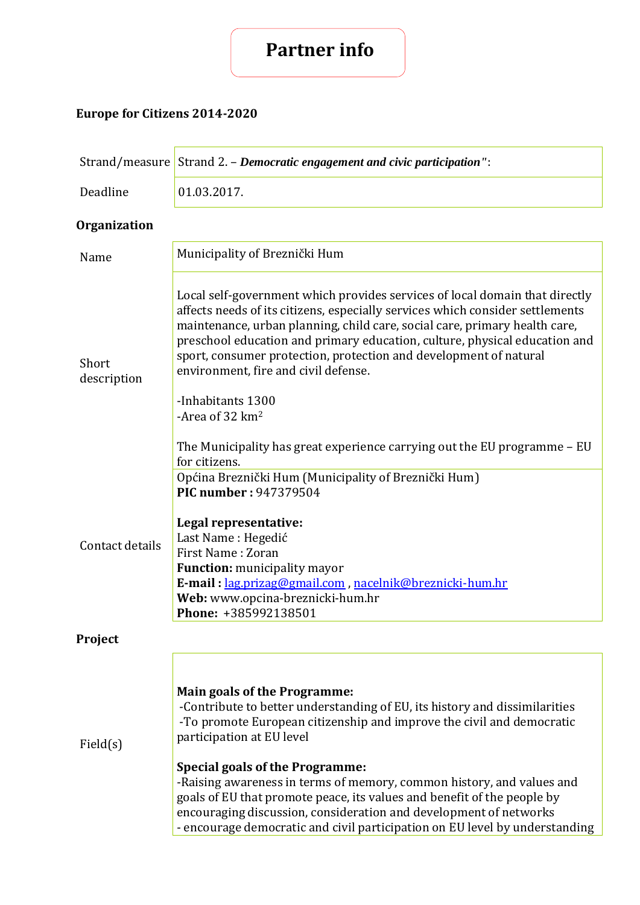## **Partner info**

## **Europe for Citizens 2014-2020**

|                      | Strand/measure Strand 2. – Democratic engagement and civic participation":                                                                                                                                                                                                                                                                                                                                                                                                                                                                                                |  |
|----------------------|---------------------------------------------------------------------------------------------------------------------------------------------------------------------------------------------------------------------------------------------------------------------------------------------------------------------------------------------------------------------------------------------------------------------------------------------------------------------------------------------------------------------------------------------------------------------------|--|
| Deadline             | 01.03.2017.                                                                                                                                                                                                                                                                                                                                                                                                                                                                                                                                                               |  |
| <b>Organization</b>  |                                                                                                                                                                                                                                                                                                                                                                                                                                                                                                                                                                           |  |
| Name                 | Municipality of Breznički Hum                                                                                                                                                                                                                                                                                                                                                                                                                                                                                                                                             |  |
| Short<br>description | Local self-government which provides services of local domain that directly<br>affects needs of its citizens, especially services which consider settlements<br>maintenance, urban planning, child care, social care, primary health care,<br>preschool education and primary education, culture, physical education and<br>sport, consumer protection, protection and development of natural<br>environment, fire and civil defense.                                                                                                                                     |  |
|                      | -Inhabitants 1300<br>-Area of 32 km <sup>2</sup>                                                                                                                                                                                                                                                                                                                                                                                                                                                                                                                          |  |
|                      | The Municipality has great experience carrying out the EU programme – EU<br>for citizens.<br>Općina Breznički Hum (Municipality of Breznički Hum)                                                                                                                                                                                                                                                                                                                                                                                                                         |  |
| Contact details      | <b>PIC number: 947379504</b><br>Legal representative:<br>Last Name: Hegedić<br>First Name: Zoran<br><b>Function:</b> municipality mayor<br>E-mail: lag.prizag@gmail.com, nacelnik@breznicki-hum.hr<br>Web: www.opcina-breznicki-hum.hr<br>Phone: +385992138501                                                                                                                                                                                                                                                                                                            |  |
| Project              |                                                                                                                                                                                                                                                                                                                                                                                                                                                                                                                                                                           |  |
| Field(s)             | <b>Main goals of the Programme:</b><br>-Contribute to better understanding of EU, its history and dissimilarities<br>-To promote European citizenship and improve the civil and democratic<br>participation at EU level<br><b>Special goals of the Programme:</b><br>-Raising awareness in terms of memory, common history, and values and<br>goals of EU that promote peace, its values and benefit of the people by<br>encouraging discussion, consideration and development of networks<br>- encourage democratic and civil participation on EU level by understanding |  |